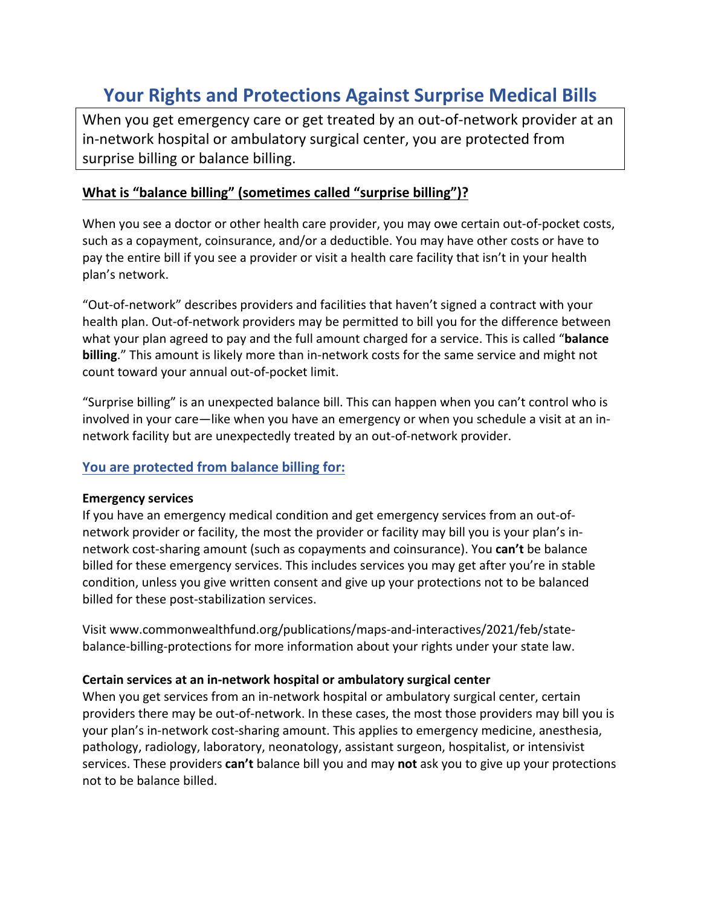# **Your Rights and Protections Against Surprise Medical Bills**

When you get emergency care or get treated by an out-of-network provider at an in‐network hospital or ambulatory surgical center, you are protected from surprise billing or balance billing.

## **What is "balance billing" (sometimes called "surprise billing")?**

When you see a doctor or other health care provider, you may owe certain out-of-pocket costs, such as a copayment, coinsurance, and/or a deductible. You may have other costs or have to pay the entire bill if you see a provider or visit a health care facility that isn't in your health plan's network.

"Out‐of‐network" describes providers and facilities that haven't signed a contract with your health plan. Out-of-network providers may be permitted to bill you for the difference between what your plan agreed to pay and the full amount charged for a service. This is called "**balance billing**." This amount is likely more than in-network costs for the same service and might not count toward your annual out‐of‐pocket limit.

"Surprise billing" is an unexpected balance bill. This can happen when you can't control who is involved in your care—like when you have an emergency or when you schedule a visit at an in‐ network facility but are unexpectedly treated by an out‐of‐network provider.

### **You are protected from balance billing for:**

#### **Emergency services**

If you have an emergency medical condition and get emergency services from an out‐of‐ network provider or facility, the most the provider or facility may bill you is your plan's in‐ network cost‐sharing amount (such as copayments and coinsurance). You **can't** be balance billed for these emergency services. This includes services you may get after you're in stable condition, unless you give written consent and give up your protections not to be balanced billed for these post‐stabilization services.

Visit www.commonwealthfund.org/publications/maps‐and‐interactives/2021/feb/state‐ balance‐billing‐protections for more information about your rights under your state law.

#### **Certain services at an in‐network hospital or ambulatory surgical center**

When you get services from an in-network hospital or ambulatory surgical center, certain providers there may be out‐of‐network. In these cases, the most those providers may bill you is your plan's in‐network cost‐sharing amount. This applies to emergency medicine, anesthesia, pathology, radiology, laboratory, neonatology, assistant surgeon, hospitalist, or intensivist services. These providers **can't** balance bill you and may **not** ask you to give up your protections not to be balance billed.